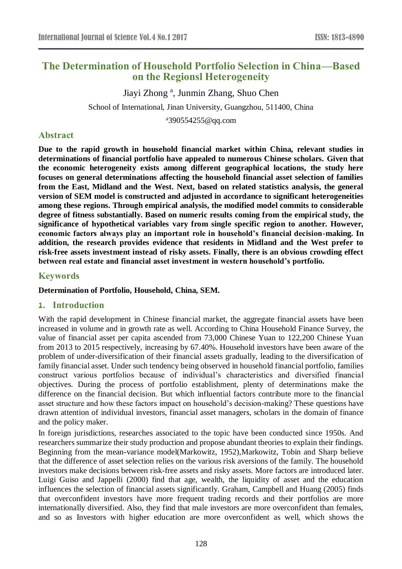# **The Determination of Household Portfolio Selection in China—Based on the Regionsl Heterogeneity**

Jiayi Zhong<sup>a</sup>, Junmin Zhang, Shuo Chen School of International, Jinan University, Guangzhou, 511400, China

<sup>a</sup>390554255@qq.com

# **Abstract**

**Due to the rapid growth in household financial market within China, relevant studies in determinations of financial portfolio have appealed to numerous Chinese scholars. Given that the economic heterogeneity exists among different geographical locations, the study here focuses on general determinations affecting the household financial asset selection of families from the East, Midland and the West. Next, based on related statistics analysis, the general version of SEM model is constructed and adjusted in accordance to significant heterogeneities among these regions. Through empirical analysis, the modified model commits to considerable degree of fitness substantially. Based on numeric results coming from the empirical study, the significance of hypothetical variables vary from single specific region to another. However, economic factors always play an important role in household's financial decision-making. In addition, the research provides evidence that residents in Midland and the West prefer to risk-free assets investment instead of risky assets. Finally, there is an obvious crowding effect between real estate and financial asset investment in western household's portfolio.**

# **Keywords**

#### **Determination of Portfolio, Household, China, SEM.**

#### **1. Introduction**

With the rapid development in Chinese financial market, the aggregate financial assets have been increased in volume and in growth rate as well. According to China Household Finance Survey, the value of financial asset per capita ascended from 73,000 Chinese Yuan to 122,200 Chinese Yuan from 2013 to 2015 respectively, increasing by 67.40%. Household investors have been aware of the problem of under-diversification of their financial assets gradually, leading to the diversification of family financial asset. Under such tendency being observed in household financial portfolio, families construct various portfolios because of individual's characteristics and diversified financial objectives. During the process of portfolio establishment, plenty of determinations make the difference on the financial decision. But which influential factors contribute more to the financial asset structure and how these factors impact on household's decision-making? These questions have drawn attention of individual investors, financial asset managers, scholars in the domain of finance and the policy maker.

In foreign jurisdictions, researches associated to the topic have been conducted since 1950s. And researchers summarize their study production and propose abundant theories to explain their findings. Beginning from the mean-variance model(Markowitz, 1952), Markowitz, Tobin and Sharp believe that the difference of asset selection relies on the various risk aversions of the family. The household investors make decisions between risk-free assets and risky assets. More factors are introduced later. Luigi Guiso and Jappelli (2000) find that age, wealth, the liquidity of asset and the education influences the selection of financial assets significantly. Graham, Campbell and Huang (2005) finds that overconfident investors have more frequent trading records and their portfolios are more internationally diversified. Also, they find that male investors are more overconfident than females, and so as Investors with higher education are more overconfident as well, which shows the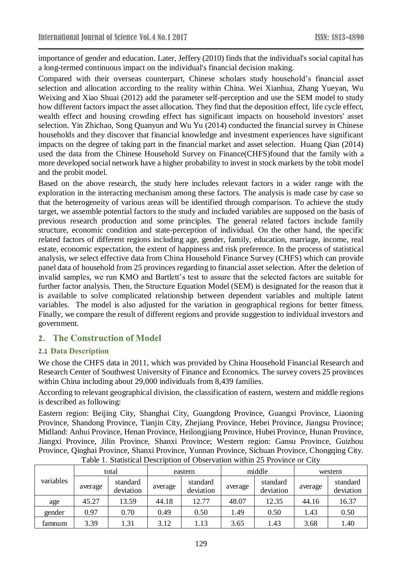importance of gender and education. Later, Jeffery (2010) finds that the individual's social capital has a long-termed continuous impact on the individual's financial decision making.

Compared with their overseas counterpart, Chinese scholars study household's financial asset selection and allocation according to the reality within China. Wei Xianhua, Zhang Yueyan, Wu Weixing and Xiao Shuai (2012) add the parameter self-perception and use the SEM model to study how different factors impact the asset allocation. They find that the deposition effect, life cycle effect, wealth effect and housing crowding effect has significant impacts on household investors' asset selection. Yin Zhichao, Song Quanyun and Wu Yu (2014) conducted the financial survey in Chinese households and they discover that financial knowledge and investment experiences have significant impacts on the degree of taking part in the financial market and asset selection. Huang Qian (2014) used the data from the Chinese Household Survey on Finance(CHFS)found that the family with a more developed social network have a higher probability to invest in stock markets by the tobit model and the probit model.

Based on the above research, the study here includes relevant factors in a wider range with the exploration in the interacting mechanism among these factors. The analysis is made case by case so that the heterogeneity of various areas will be identified through comparison. To achieve the study target, we assemble potential factors to the study and included variables are supposed on the basis of previous research production and some principles. The general related factors include family structure, economic condition and state-perception of individual. On the other hand, the specific related factors of different regions including age, gender, family, education, marriage, income, real estate, economic expectation, the extent of happiness and risk preference. In the process of statistical analysis, we select effective data from China Household Finance Survey (CHFS) which can provide panel data of household from 25 provinces regarding to financial asset selection. After the deletion of invalid samples, we run KMO and Bartlett's test to assure that the selected factors are suitable for further factor analysis. Then, the Structure Equation Model (SEM) is designated for the reason that it is available to solve complicated relationship between dependent variables and multiple latent variables. The model is also adjusted for the variation in geographical regions for better fitness. Finally, we compare the result of different regions and provide suggestion to individual investors and government.

# **2. The Construction of Model**

#### **2.1 Data Description**

We chose the CHFS data in 2011, which was provided by China Household Financial Research and Research Center of Southwest University of Finance and Economics. The survey covers 25 provinces within China including about 29,000 individuals from 8,439 families.

According to relevant geographical division, the classification of eastern, western and middle regions is described as following:

Eastern region: Beijing City, Shanghai City, Guangdong Province, Guangxi Province, Liaoning Province, Shandong Province, Tianjin City, Zhejiang Province, Hebei Province, Jiangsu Province; Midland: Anhui Province, Henan Province, Heilongjiang Province, Hubei Province, Hunan Province, Jiangxi Province, Jilin Province, Shanxi Province; Western region: Gansu Province, Guizhou Province, Qinghai Province, Shanxi Province, Yunnan Province, Sichuan Province, Chongqing City.

|           |         | total                 |                                  | eastern |         | middle                | western |                       |
|-----------|---------|-----------------------|----------------------------------|---------|---------|-----------------------|---------|-----------------------|
| variables | average | standard<br>deviation | standard<br>average<br>deviation |         | average | standard<br>deviation | average | standard<br>deviation |
| age       | 45.27   | 13.59                 | 44.18                            | 12.77   | 48.07   | 12.35                 | 44.16   | 16.37                 |
| gender    | 0.97    | 0.70                  | 0.49                             | 0.50    | .49     | 0.50                  | 1.43    | 0.50                  |
| famnum    | 3.39    | l.31                  | 3.12                             | 1.13    | 3.65    | l.43                  | 3.68    | 1.40                  |

Table 1. Statistical Description of Observation within 25 Province or City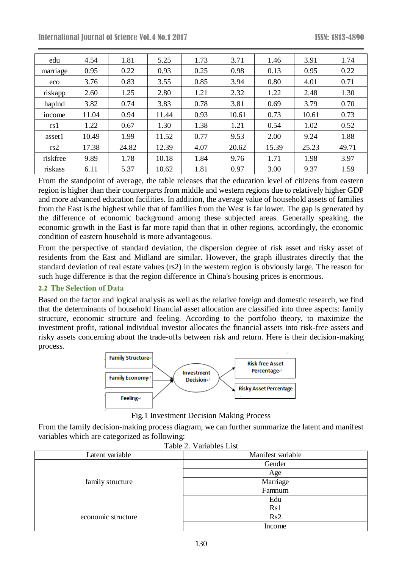International Journal of Science Vol.4 No.1 2017 ISSN: 1813-4890

| edu      | 4.54  | 1.81  | 5.25  | 1.73 | 3.71  | 1.46  | 3.91  | 1.74  |
|----------|-------|-------|-------|------|-------|-------|-------|-------|
| marriage | 0.95  | 0.22  | 0.93  | 0.25 | 0.98  | 0.13  | 0.95  | 0.22  |
| eco      | 3.76  | 0.83  | 3.55  | 0.85 | 3.94  | 0.80  | 4.01  | 0.71  |
| riskapp  | 2.60  | 1.25  | 2.80  | 1.21 | 2.32  | 1.22  | 2.48  | 1.30  |
| haplnd   | 3.82  | 0.74  | 3.83  | 0.78 | 3.81  | 0.69  | 3.79  | 0.70  |
| income   | 11.04 | 0.94  | 11.44 | 0.93 | 10.61 | 0.73  | 10.61 | 0.73  |
| rs 1     | 1.22  | 0.67  | 1.30  | 1.38 | 1.21  | 0.54  | 1.02  | 0.52  |
| asset1   | 10.49 | 1.99  | 11.52 | 0.77 | 9.53  | 2.00  | 9.24  | 1.88  |
| rs2      | 17.38 | 24.82 | 12.39 | 4.07 | 20.62 | 15.39 | 25.23 | 49.71 |
| riskfree | 9.89  | 1.78  | 10.18 | 1.84 | 9.76  | 1.71  | 1.98  | 3.97  |
| riskass  | 6.11  | 5.37  | 10.62 | 1.81 | 0.97  | 3.00  | 9.37  | 1.59  |

From the standpoint of average, the table releases that the education level of citizens from eastern region is higher than their counterparts from middle and western regions due to relatively higher GDP and more advanced education facilities. In addition, the average value of household assets of families from the East is the highest while that of families from the West is far lower. The gap is generated by the difference of economic background among these subjected areas. Generally speaking, the economic growth in the East is far more rapid than that in other regions, accordingly, the economic condition of eastern household is more advantageous.

From the perspective of standard deviation, the dispersion degree of risk asset and risky asset of residents from the East and Midland are similar. However, the graph illustrates directly that the standard deviation of real estate values (rs2) in the western region is obviously large. The reason for such huge difference is that the region difference in China's housing prices is enormous.

#### **2.2 The Selection of Data**

Based on the factor and logical analysis as well as the relative foreign and domestic research, we find that the determinants of household financial asset allocation are classified into three aspects: family structure, economic structure and feeling. According to the portfolio theory, to maximize the investment profit, rational individual investor allocates the financial assets into risk-free assets and risky assets concerning about the trade-offs between risk and return. Here is their decision-making process.



Fig.1 Investment Decision Making Process

From the family decision-making process diagram, we can further summarize the latent and manifest variables which are categorized as following:

| $140R2$ . Valiables Eist |                   |  |  |  |  |
|--------------------------|-------------------|--|--|--|--|
| Latent variable          | Manifest variable |  |  |  |  |
|                          | Gender            |  |  |  |  |
|                          | Age               |  |  |  |  |
| family structure         | Marriage          |  |  |  |  |
|                          | Famnum            |  |  |  |  |
|                          | Edu               |  |  |  |  |
|                          | Rs1               |  |  |  |  |
| economic structure       | Rs2               |  |  |  |  |
|                          | Income            |  |  |  |  |

Table 2. Variables List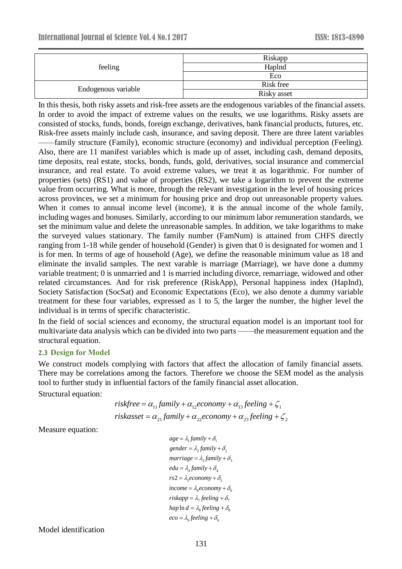|                     | Riskapp     |  |  |  |
|---------------------|-------------|--|--|--|
| feeling             | Haplnd      |  |  |  |
|                     | Eco         |  |  |  |
|                     | Risk free   |  |  |  |
| Endogenous variable | Risky asset |  |  |  |

In this thesis, both risky assets and risk-free assets are the endogenous variables of the financial assets. In order to avoid the impact of extreme values on the results, we use logarithms. Risky assets are consisted of stocks, funds, bonds, foreign exchange, derivatives, bank financial products, futures, etc. Risk-free assets mainly include cash, insurance, and saving deposit. There are three latent variables ——family structure (Family), economic structure (economy) and individual perception (Feeling). Also, there are 11 manifest variables which is made up of asset, including cash, demand deposits, time deposits, real estate, stocks, bonds, funds, gold, derivatives, social insurance and commercial insurance, and real estate. To avoid extreme values, we treat it as logarithmic. For number of properties (sets) (RS1) and value of properties (RS2), we take a logarithm to prevent the extreme value from occurring. What is more, through the relevant investigation in the level of housing prices across provinces, we set a minimum for housing price and drop out unreasonable property values. When it comes to annual income level (income), it is the annual income of the whole family, including wages and bonuses. Similarly, according to our minimum labor remuneration standards, we set the minimum value and delete the unreasonable samples. In addition, we take logarithms to make the surveyed values stationary. The family number (FamNum) is attained from CHFS directly ranging from 1-18 while gender of household (Gender) is given that 0 is designated for women and 1 is for men. In terms of age of household (Age), we define the reasonable minimum value as 18 and eliminate the invalid samples. The next varable is marriage (Marriage), we have done a dummy variable treatment; 0 is unmarried and 1 is married including divorce, remarriage, widowed and other related circumstances. And for risk preference (RiskApp), Personal happiness index (HapInd), Society Satisfaction (SocSat) and Economic Expectations (Eco), we also denote a dummy variable treatment for these four variables, expressed as 1 to 5, the larger the number, the higher level the individual is in terms of specific characteristic.

In the field of social sciences and economy, the structural equation model is an important tool for multivariate data analysis which can be divided into two parts ——the measurement equation and the structural equation.

#### **2.3 Design for Model**

We construct models complying with factors that affect the allocation of family financial assets. There may be correlations among the factors. Therefore we choose the SEM model as the analysis tool to further study in influential factors of the family financial asset allocation. Structural equation:

> $riskfree = \alpha_{11}$  family +  $\alpha_{12}$ economy +  $\alpha_{13}$  feeling +  $\zeta_1$  $riskasset = \alpha_{21}$   $family + \alpha_{22}$ economy +  $\alpha_{23}$   $feeling + \zeta_{2}$

Measure equation:

 $age = \lambda_1 family + \delta_1$ gender =  $\lambda_2$  family +  $\delta_2$  $\textit{marriage} = \lambda_3 \textit{family} + \delta_3$  $edu = \lambda_4$  family +  $\delta_4$  $rs2 = \lambda_5 e \text{conomy} + \delta_5$  $\hat{\lambda}_{6}$  *income* =  $\lambda_{6}$  *economy* +  $\delta_{6}$  $r$ *iskapp* =  $\lambda_7$  *feeling* +  $\delta_7$  $hap \ln d = \lambda_{\rm s} fee \lim g + \delta_{\rm s}$  $2 = \lambda_s economy + \delta_s$ <br>  $come = \lambda_e economy + \delta_s$ <br>  $skapp = \lambda_\tau feeling + \delta_\tau$ <br>  $up \ln d = \lambda_s feeling + \delta_s$ <br>  $oo = \lambda_\tau feeling + \delta_s$  $eco = \lambda_{\rm o}$  feeling  $+\delta_{\rm o}$  $+o$  $+\partial$  $+\partial$ <sub>2</sub>  $+o$ .  $+o<sub>z</sub>$  $+\partial$  $+\partial_{\tau}$  $+\partial$ <sub>0</sub>  $+o<sub>o</sub>$ 

Model identification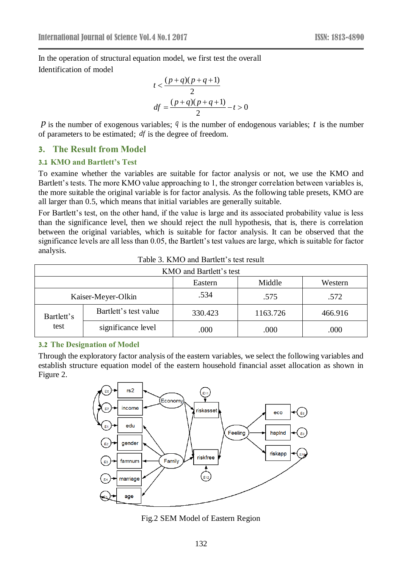In the operation of structural equation model, we first test the overall Identification of model

$$
t < \frac{(p+q)(p+q+1)}{2}
$$
  
df =  $\frac{(p+q)(p+q+1)}{2}$  - t > 0

 *is the number of exogenous variables;*  $*q*$  *is the number of endogenous variables;*  $*t*$  *is the number* of parameters to be estimated; *df* is the degree of freedom.

#### **3. The Result from Model**

#### **3.1 KMO and Bartlett's Test**

To examine whether the variables are suitable for factor analysis or not, we use the KMO and Bartlett's tests. The more KMO value approaching to 1, the stronger correlation between variables is, the more suitable the original variable is for factor analysis. As the following table presets, KMO are all larger than 0.5, which means that initial variables are generally suitable.

For Bartlett's test, on the other hand, if the value is large and its associated probability value is less than the significance level, then we should reject the null hypothesis, that is, there is correlation between the original variables, which is suitable for factor analysis. It can be observed that the significance levels are all less than 0.05, the Bartlett's test values are large, which is suitable for factor analysis.

| KMO and Bartlett's test |                       |                   |          |         |  |  |  |  |
|-------------------------|-----------------------|-------------------|----------|---------|--|--|--|--|
|                         |                       | Middle<br>Eastern |          | Western |  |  |  |  |
|                         | Kaiser-Meyer-Olkin    | .534              | .575     | .572    |  |  |  |  |
| Bartlett's              | Bartlett's test value | 330.423           | 1163.726 | 466.916 |  |  |  |  |
| test                    | significance level    | .000              | .000     | .000    |  |  |  |  |

#### **3.2 The Designation of Model**

Through the exploratory factor analysis of the eastern variables, we select the following variables and establish structure equation model of the eastern household financial asset allocation as shown in Figure 2.



Fig.2 SEM Model of Eastern Region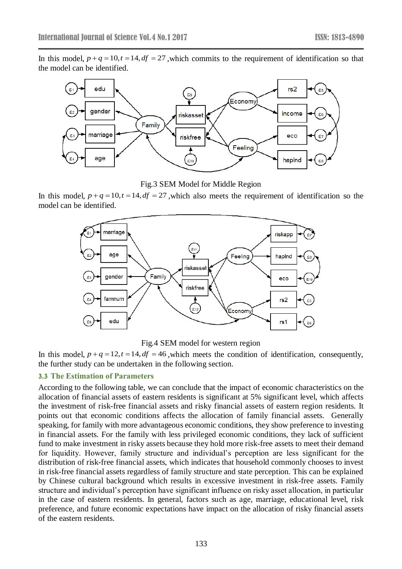In this model,  $p + q = 10$ ,  $t = 14$ ,  $df = 27$ , which commits to the requirement of identification so that the model can be identified.



Fig.3 SEM Model for Middle Region

In this model,  $p + q = 10$ ,  $t = 14$ ,  $df = 27$ , which also meets the requirement of identification so the model can be identified.



Fig.4 SEM model for western region

In this model,  $p + q = 12$ ,  $t = 14$ ,  $df = 46$ , which meets the condition of identification, consequently, the further study can be undertaken in the following section.

#### **3.3 The Estimation of Parameters**

According to the following table, we can conclude that the impact of economic characteristics on the allocation of financial assets of eastern residents is significant at 5% significant level, which affects the investment of risk-free financial assets and risky financial assets of eastern region residents. It points out that economic conditions affects the allocation of family financial assets. Generally speaking, for family with more advantageous economic conditions, they show preference to investing in financial assets. For the family with less privileged economic conditions, they lack of sufficient fund to make investment in risky assets because they hold more risk-free assets to meet their demand for liquidity. However, family structure and individual's perception are less significant for the distribution of risk-free financial assets, which indicates that household commonly chooses to invest in risk-free financial assets regardless of family structure and state perception. This can be explained by Chinese cultural background which results in excessive investment in risk-free assets. Family structure and individual's perception have significant influence on risky asset allocation, in particular in the case of eastern residents. In general, factors such as age, marriage, educational level, risk preference, and future economic expectations have impact on the allocation of risky financial assets of the eastern residents.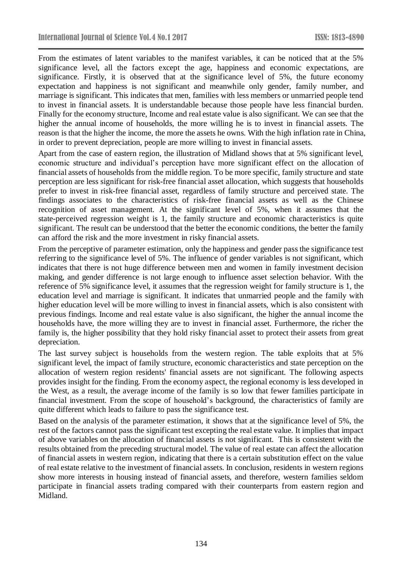From the estimates of latent variables to the manifest variables, it can be noticed that at the 5% significance level, all the factors except the age, happiness and economic expectations, are significance. Firstly, it is observed that at the significance level of 5%, the future economy expectation and happiness is not significant and meanwhile only gender, family number, and marriage is significant. This indicates that men, families with less members or unmarried people tend to invest in financial assets. It is understandable because those people have less financial burden. Finally for the economy structure, Income and real estate value is also significant. We can see that the higher the annual income of households, the more willing he is to invest in financial assets. The reason is that the higher the income, the more the assets he owns. With the high inflation rate in China, in order to prevent depreciation, people are more willing to invest in financial assets.

Apart from the case of eastern region, the illustration of Midland shows that at 5% significant level, economic structure and individual's perception have more significant effect on the allocation of financial assets of households from the middle region. To be more specific, family structure and state perception are less significant for risk-free financial asset allocation, which suggests that households prefer to invest in risk-free financial asset, regardless of family structure and perceived state. The findings associates to the characteristics of risk-free financial assets as well as the Chinese recognition of asset management. At the significant level of 5%, when it assumes that the state-perceived regression weight is 1, the family structure and economic characteristics is quite significant. The result can be understood that the better the economic conditions, the better the family can afford the risk and the more investment in risky financial assets.

From the perceptive of parameter estimation, only the happiness and gender pass the significance test referring to the significance level of 5%. The influence of gender variables is not significant, which indicates that there is not huge difference between men and women in family investment decision making, and gender difference is not large enough to influence asset selection behavior. With the reference of 5% significance level, it assumes that the regression weight for family structure is 1, the education level and marriage is significant. It indicates that unmarried people and the family with higher education level will be more willing to invest in financial assets, which is also consistent with previous findings. Income and real estate value is also significant, the higher the annual income the households have, the more willing they are to invest in financial asset. Furthermore, the richer the family is, the higher possibility that they hold risky financial asset to protect their assets from great depreciation.

The last survey subject is households from the western region. The table exploits that at 5% significant level, the impact of family structure, economic characteristics and state perception on the allocation of western region residents' financial assets are not significant. The following aspects provides insight for the finding. From the economy aspect, the regional economy is less developed in the West, as a result, the average income of the family is so low that fewer families participate in financial investment. From the scope of household's background, the characteristics of family are quite different which leads to failure to pass the significance test.

Based on the analysis of the parameter estimation, it shows that at the significance level of 5%, the rest of the factors cannot pass the significant test excepting the real estate value. It implies that impact of above variables on the allocation of financial assets is not significant. This is consistent with the results obtained from the preceding structural model. The value of real estate can affect the allocation of financial assets in western region, indicating that there is a certain substitution effect on the value of real estate relative to the investment of financial assets. In conclusion, residents in western regions show more interests in housing instead of financial assets, and therefore, western families seldom participate in financial assets trading compared with their counterparts from eastern region and Midland.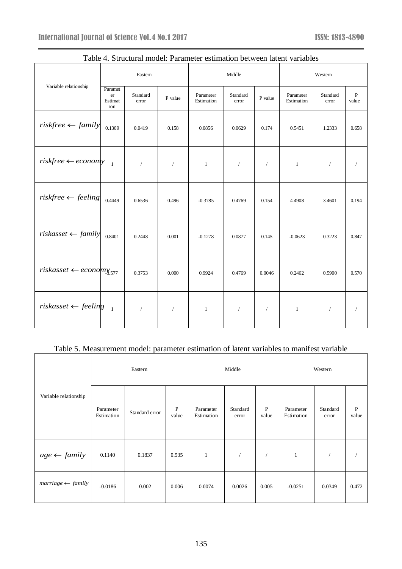|                                        | Eastern                         |                   |            | Middle                  |                   |            | Western                 |                   |                       |
|----------------------------------------|---------------------------------|-------------------|------------|-------------------------|-------------------|------------|-------------------------|-------------------|-----------------------|
| Variable relationship                  | Paramet<br>er<br>Estimat<br>ion | Standard<br>error | P value    | Parameter<br>Estimation | Standard<br>error | P value    | Parameter<br>Estimation | Standard<br>error | $\, {\bf P}$<br>value |
| $riskfree \leftarrow family$           | 0.1309                          | 0.0419            | 0.158      | 0.0856                  | 0.0629            | 0.174      | 0.5451                  | 1.2333            | 0.658                 |
| $riskfree \leftarrow economy$          | $\mathbf{1}$                    | $\sqrt{2}$        | $\sqrt{2}$ | $\mathbf{1}$            | $\sqrt{2}$        | $\sqrt{2}$ | $\mathbf{1}$            | $\sqrt{2}$        |                       |
| $riskfree \leftarrow feeling$          | 0.4449                          | 0.6536            | 0.496      | $-0.3785$               | 0.4769            | 0.154      | 4.4908                  | 3.4601            | 0.194                 |
| $riskasset \leftarrow family$          | 0.8401                          | 0.2448            | 0.001      | $-0.1278$               | 0.0877            | 0.145      | $-0.0623$               | 0.3223            | 0.847                 |
| $riskasset \leftarrow economy_{3.577}$ |                                 | 0.3753            | 0.000      | 0.9924                  | 0.4769            | 0.0046     | 0.2462                  | 0.5900            | 0.570                 |
| $risk$ asset $\leftarrow$ feeling      | $\overline{1}$                  | $\sqrt{2}$        | $\sqrt{2}$ | $\mathbf{1}$            | $\sqrt{2}$        | $\sqrt{2}$ | $\mathbf{1}$            | $\sqrt{2}$        |                       |

#### Table 4. Structural model: Parameter estimation between latent variables

# Table 5. Measurement model: parameter estimation of latent variables to manifest variable

|                              | Eastern                 |                |                       |                         | Middle            |                       | Western                 |                   |            |
|------------------------------|-------------------------|----------------|-----------------------|-------------------------|-------------------|-----------------------|-------------------------|-------------------|------------|
| Variable relationship        | Parameter<br>Estimation | Standard error | $\mathbf{P}$<br>value | Parameter<br>Estimation | Standard<br>error | $\mathbf{P}$<br>value | Parameter<br>Estimation | Standard<br>error | P<br>value |
| $age \leftarrow family$      | 0.1140                  | 0.1837         | 0.535                 | $\mathbf{1}$            |                   |                       | $\mathbf{1}$            |                   |            |
| $marriage \leftarrow family$ | $-0.0186$               | 0.002          | 0.006                 | 0.0074                  | 0.0026            | 0.005                 | $-0.0251$               | 0.0349            | 0.472      |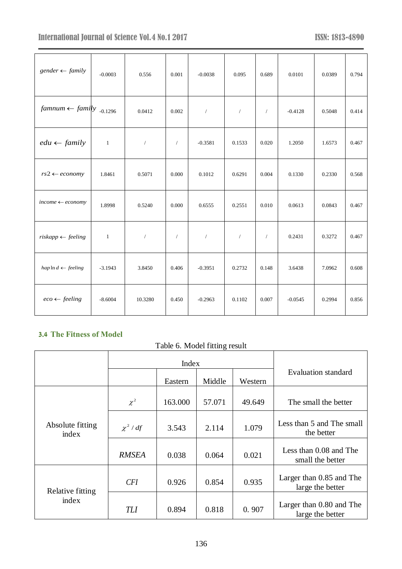# International Journal of Science Vol.4 No.1 2017 **ISSN: 1813-4890**

| $gender \leftarrow family$           | $-0.0003$    | 0.556      | 0.001      | $-0.0038$      | 0.095      | 0.689      | 0.0101    | 0.0389 | 0.794 |
|--------------------------------------|--------------|------------|------------|----------------|------------|------------|-----------|--------|-------|
| $famnum \leftarrow family_{-0.1296}$ |              | 0.0412     | 0.002      | $\sqrt{ }$     | $\sqrt{2}$ | $\sqrt{2}$ | $-0.4128$ | 0.5048 | 0.414 |
| $edu \leftarrow family$              | $\mathbf{1}$ | $\sqrt{2}$ | $\sqrt{2}$ | $-0.3581$      | 0.1533     | 0.020      | 1.2050    | 1.6573 | 0.467 |
| $rs2 \leftarrow economy$             | 1.8461       | 0.5071     | 0.000      | 0.1012         | 0.6291     | 0.004      | 0.1330    | 0.2330 | 0.568 |
| $income \leftarrow economy$          | 1.8998       | 0.5240     | 0.000      | 0.6555         | 0.2551     | 0.010      | 0.0613    | 0.0843 | 0.467 |
| $riskapp \leftarrow feeling$         | $\mathbf{1}$ | $\sqrt{2}$ | $\sqrt{2}$ | $\overline{1}$ | $\sqrt{2}$ | $\sqrt{2}$ | 0.2431    | 0.3272 | 0.467 |
| $hap \ln d \leftarrow feeling$       | $-3.1943$    | 3.8450     | 0.406      | $-0.3951$      | 0.2732     | 0.148      | 3.6438    | 7.0962 | 0.608 |
| $eco \leftarrow feeling$             | $-8.6004$    | 10.3280    | 0.450      | $-0.2963$      | 0.1102     | 0.007      | $-0.0545$ | 0.2994 | 0.856 |

# **3.4 The Fitness of Model**

# Table 6. Model fitting result

|                           |               | Index   |        |         |                                              |
|---------------------------|---------------|---------|--------|---------|----------------------------------------------|
|                           |               | Eastern | Middle | Western | <b>Evaluation standard</b>                   |
|                           | $\chi^2$      | 163.000 | 57.071 | 49.649  | The small the better                         |
| Absolute fitting<br>index | $\chi^2$ / df | 3.543   | 2.114  | 1.079   | Less than 5 and The small<br>the better      |
|                           | <b>RMSEA</b>  | 0.038   | 0.064  | 0.021   | Less than 0.08 and The<br>small the better   |
| Relative fitting          | <b>CFI</b>    | 0.926   | 0.854  | 0.935   | Larger than 0.85 and The<br>large the better |
| index                     | TLI           | 0.894   | 0.818  | 0.907   | Larger than 0.80 and The<br>large the better |